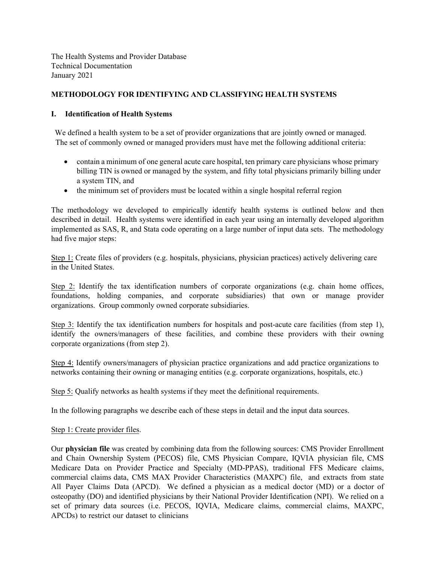The Health Systems and Provider Database Technical Documentation January 2021

## **METHODOLOGY FOR IDENTIFYING AND CLASSIFYING HEALTH SYSTEMS**

## **I. Identification of Health Systems**

We defined a health system to be a set of provider organizations that are jointly owned or managed. The set of commonly owned or managed providers must have met the following additional criteria:

- contain a minimum of one general acute care hospital, ten primary care physicians whose primary billing TIN is owned or managed by the system, and fifty total physicians primarily billing under a system TIN, and
- the minimum set of providers must be located within a single hospital referral region

The methodology we developed to empirically identify health systems is outlined below and then described in detail. Health systems were identified in each year using an internally developed algorithm implemented as SAS, R, and Stata code operating on a large number of input data sets. The methodology had five major steps:

Step 1: Create files of providers (e.g. hospitals, physicians, physician practices) actively delivering care in the United States.

Step 2: Identify the tax identification numbers of corporate organizations (e.g. chain home offices, foundations, holding companies, and corporate subsidiaries) that own or manage provider organizations. Group commonly owned corporate subsidiaries.

Step 3: Identify the tax identification numbers for hospitals and post-acute care facilities (from step 1), identify the owners/managers of these facilities, and combine these providers with their owning corporate organizations (from step 2).

Step 4: Identify owners/managers of physician practice organizations and add practice organizations to networks containing their owning or managing entities (e.g. corporate organizations, hospitals, etc.)

Step 5: Qualify networks as health systems if they meet the definitional requirements.

In the following paragraphs we describe each of these steps in detail and the input data sources.

## Step 1: Create provider files.

Our **physician file** was created by combining data from the following sources: CMS Provider Enrollment and Chain Ownership System (PECOS) file, CMS Physician Compare, IQVIA physician file, CMS Medicare Data on Provider Practice and Specialty (MD-PPAS), traditional FFS Medicare claims, commercial claims data, CMS MAX Provider Characteristics (MAXPC) file, and extracts from state All Payer Claims Data (APCD). We defined a physician as a medical doctor (MD) or a doctor of osteopathy (DO) and identified physicians by their National Provider Identification (NPI). We relied on a set of primary data sources (i.e. PECOS, IQVIA, Medicare claims, commercial claims, MAXPC, APCDs) to restrict our dataset to clinicians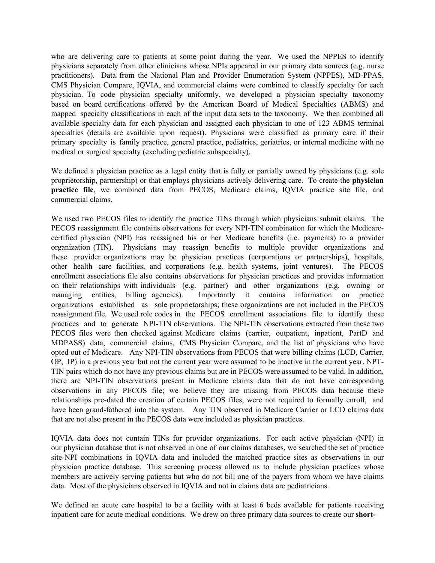who are delivering care to patients at some point during the year. We used the NPPES to identify physicians separately from other clinicians whose NPIs appeared in our primary data sources (e.g. nurse practitioners). Data from the National Plan and Provider Enumeration System (NPPES), MD-PPAS, CMS Physician Compare, IQVIA, and commercial claims were combined to classify specialty for each physician. To code physician specialty uniformly, we developed a physician specialty taxonomy based on board certifications offered by the American Board of Medical Specialties (ABMS) and mapped specialty classifications in each of the input data sets to the taxonomy. We then combined all available specialty data for each physician and assigned each physician to one of 123 ABMS terminal specialties (details are available upon request). Physicians were classified as primary care if their primary specialty is family practice, general practice, pediatrics, geriatrics, or internal medicine with no medical or surgical specialty (excluding pediatric subspecialty).

We defined a physician practice as a legal entity that is fully or partially owned by physicians (e.g. sole proprietorship, partnership) or that employs physicians actively delivering care. To create the **physician practice file**, we combined data from PECOS, Medicare claims, IQVIA practice site file, and commercial claims.

We used two PECOS files to identify the practice TINs through which physicians submit claims. The PECOS reassignment file contains observations for every NPI-TIN combination for which the Medicarecertified physician (NPI) has reassigned his or her Medicare benefits (i.e. payments) to a provider organization (TIN). Physicians may reassign benefits to multiple provider organizations and these provider organizations may be physician practices (corporations or partnerships), hospitals, other health care facilities, and corporations (e.g. health systems, joint ventures). The PECOS enrollment associations file also contains observations for physician practices and provides information on their relationships with individuals (e.g. partner) and other organizations (e.g. owning or managing entities, billing agencies). Importantly it contains information on practice organizations established as sole proprietorships; these organizations are not included in the PECOS reassignment file. We used role codes in the PECOS enrollment associations file to identify these practices and to generate NPI-TIN observations. The NPI-TIN observations extracted from these two PECOS files were then checked against Medicare claims (carrier, outpatient, inpatient, PartD and MDPASS) data, commercial claims, CMS Physician Compare, and the list of physicians who have opted out of Medicare. Any NPI-TIN observations from PECOS that were billing claims (LCD, Carrier, OP, IP) in a previous year but not the current year were assumed to be inactive in the current year. NPT-TIN pairs which do not have any previous claims but are in PECOS were assumed to be valid. In addition, there are NPI-TIN observations present in Medicare claims data that do not have corresponding observations in any PECOS file; we believe they are missing from PECOS data because these relationships pre-dated the creation of certain PECOS files, were not required to formally enroll, and have been grand-fathered into the system. Any TIN observed in Medicare Carrier or LCD claims data that are not also present in the PECOS data were included as physician practices.

IQVIA data does not contain TINs for provider organizations. For each active physician (NPI) in our physician database that is not observed in one of our claims databases, we searched the set of practice site-NPI combinations in IQVIA data and included the matched practice sites as observations in our physician practice database. This screening process allowed us to include physician practices whose members are actively serving patients but who do not bill one of the payers from whom we have claims data. Most of the physicians observed in IQVIA and not in claims data are pediatricians.

We defined an acute care hospital to be a facility with at least 6 beds available for patients receiving inpatient care for acute medical conditions. We drew on three primary data sources to create our **short-**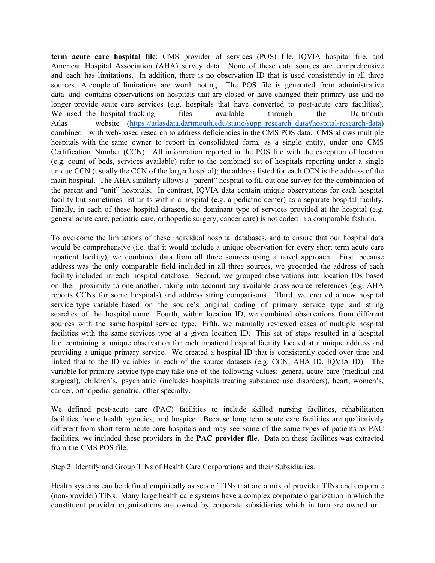**term acute care hospital file**: CMS provider of services (POS) file, IQVIA hospital file, and American Hospital Association (AHA) survey data. None of these data sources are comprehensive and each has limitations. In addition, there is no observation ID that is used consistently in all three sources. A couple of limitations are worth noting. The POS file is generated from administrative data and contains observations on hospitals that are closed or have changed their primary use and no longer provide acute care services (e.g. hospitals that have converted to post-acute care facilities). We used the hospital tracking files available through the Dartmouth Atlas website [\(https://atlasdata.dartmouth.edu/static/supp\\_research\\_data#hospital-research-data\)](https://atlasdata.dartmouth.edu/static/supp_research_data#hospital-research-data) combined with web-based research to address deficiencies in the CMS POS data. CMS allows multiple hospitals with the same owner to report in consolidated form, as a single entity, under one CMS Certification Number (CCN). All information reported in the POS file with the exception of location (e.g. count of beds, services available) refer to the combined set of hospitals reporting under a single unique CCN (usually the CCN of the larger hospital); the address listed for each CCN is the address of the main hospital. The AHA similarly allows a "parent" hospital to fill out one survey for the combination of the parent and "unit" hospitals. In contrast, IQVIA data contain unique observations for each hospital facility but sometimes list units within a hospital (e.g. a pediatric center) as a separate hospital facility. Finally, in each of these hospital datasets, the dominant type of services provided at the hospital (e.g. general acute care, pediatric care, orthopedic surgery, cancer care) is not coded in a comparable fashion.

To overcome the limitations of these individual hospital databases, and to ensure that our hospital data would be comprehensive (i.e. that it would include a unique observation for every short term acute care inpatient facility), we combined data from all three sources using a novel approach. First, because address was the only comparable field included in all three sources, we geocoded the address of each facility included in each hospital database. Second, we grouped observations into location IDs based on their proximity to one another, taking into account any available cross source references (e.g. AHA reports CCNs for some hospitals) and address string comparisons. Third, we created a new hospital service type variable based on the source's original coding of primary service type and string searches of the hospital name. Fourth, within location ID, we combined observations from different sources with the same hospital service type. Fifth, we manually reviewed cases of multiple hospital facilities with the same services type at a given location ID. This set of steps resulted in a hospital file containing a unique observation for each inpatient hospital facility located at a unique address and providing a unique primary service. We created a hospital ID that is consistently coded over time and linked that to the ID variables in each of the source datasets (e.g. CCN, AHA ID, IQVIA ID). The variable for primary service type may take one of the following values: general acute care (medical and surgical), children's, psychiatric (includes hospitals treating substance use disorders), heart, women's, cancer, orthopedic, geriatric, other specialty.

We defined post-acute care (PAC) facilities to include skilled nursing facilities, rehabilitation facilities, home health agencies, and hospice. Because long term acute care facilities are qualitatively different from short term acute care hospitals and may see some of the same types of patients as PAC facilities, we included these providers in the **PAC provider file**. Data on these facilities was extracted from the CMS POS file.

#### Step 2: Identify and Group TINs of Health Care Corporations and their Subsidiaries.

Health systems can be defined empirically as sets of TINs that are a mix of provider TINs and corporate (non-provider) TINs. Many large health care systems have a complex corporate organization in which the constituent provider organizations are owned by corporate subsidiaries which in turn are owned or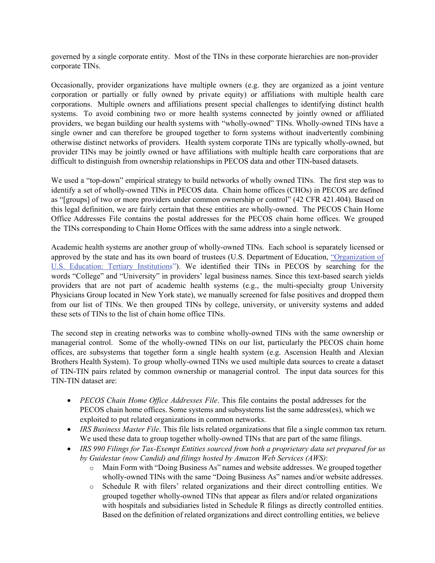governed by a single corporate entity. Most of the TINs in these corporate hierarchies are non-provider corporate TINs.

Occasionally, provider organizations have multiple owners (e.g. they are organized as a joint venture corporation or partially or fully owned by private equity) or affiliations with multiple health care corporations. Multiple owners and affiliations present special challenges to identifying distinct health systems. To avoid combining two or more health systems connected by jointly owned or affiliated providers, we began building our health systems with "wholly-owned" TINs. Wholly-owned TINs have a single owner and can therefore be grouped together to form systems without inadvertently combining otherwise distinct networks of providers. Health system corporate TINs are typically wholly-owned, but provider TINs may be jointly owned or have affiliations with multiple health care corporations that are difficult to distinguish from ownership relationships in PECOS data and other TIN-based datasets.

We used a "top-down" empirical strategy to build networks of wholly owned TINs. The first step was to identify a set of wholly-owned TINs in PECOS data. Chain home offices (CHOs) in PECOS are defined as "[groups] of two or more providers under common ownership or control" (42 CFR 421.404). Based on this legal definition, we are fairly certain that these entities are wholly-owned. The PECOS Chain Home Office Addresses File contains the postal addresses for the PECOS chain home offices. We grouped the TINs corresponding to Chain Home Offices with the same address into a single network.

Academic health systems are another group of wholly-owned TINs. Each school is separately licensed or approved by the state and has its own board of trustees (U.S. Department of Education, ["Organization of](https://www2.ed.gov/about/offices/list/ous/international/usnei/us/postsec-inst.doc)  [U.S. Education: Tertiary Institutions](https://www2.ed.gov/about/offices/list/ous/international/usnei/us/postsec-inst.doc)"). We identified their TINs in PECOS by searching for the words "College" and "University" in providers' legal business names. Since this text-based search yields providers that are not part of academic health systems (e.g., the multi-specialty group University Physicians Group located in New York state), we manually screened for false positives and dropped them from our list of TINs. We then grouped TINs by college, university, or university systems and added these sets of TINs to the list of chain home office TINs.

The second step in creating networks was to combine wholly-owned TINs with the same ownership or managerial control. Some of the wholly-owned TINs on our list, particularly the PECOS chain home offices, are subsystems that together form a single health system (e.g. Ascension Health and Alexian Brothers Health System). To group wholly-owned TINs we used multiple data sources to create a dataset of TIN-TIN pairs related by common ownership or managerial control. The input data sources for this TIN-TIN dataset are:

- *PECOS Chain Home Office Addresses File*. This file contains the postal addresses for the PECOS chain home offices. Some systems and subsystems list the same address(es), which we exploited to put related organizations in common networks.
- *IRS Business Master File.* This file lists related organizations that file a single common tax return. We used these data to group together wholly-owned TINs that are part of the same filings.
- *IRS 990 Filings for Tax-Exempt Entities sourced from both a proprietary data set prepared for us by Guidestar (now Candid) and filings hosted by Amazon Web Services (AWS)*:
	- o Main Form with "Doing Business As" names and website addresses. We grouped together wholly-owned TINs with the same "Doing Business As" names and/or website addresses.
	- o Schedule R with filers' related organizations and their direct controlling entities. We grouped together wholly-owned TINs that appear as filers and/or related organizations with hospitals and subsidiaries listed in Schedule R filings as directly controlled entities. Based on the definition of related organizations and direct controlling entities, we believe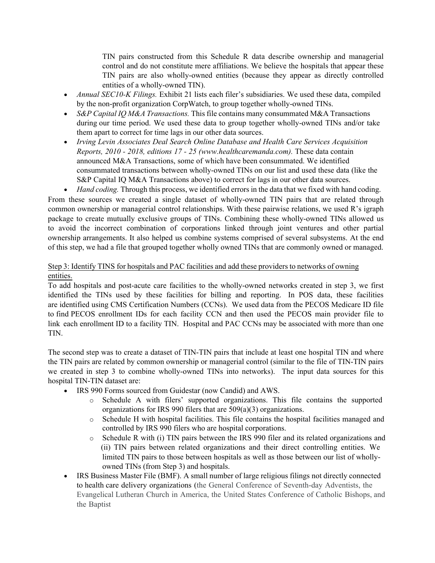TIN pairs constructed from this Schedule R data describe ownership and managerial control and do not constitute mere affiliations. We believe the hospitals that appear these TIN pairs are also wholly-owned entities (because they appear as directly controlled entities of a wholly-owned TIN).

- *Annual SEC10-K Filings.* Exhibit 21 lists each filer's subsidiaries. We used these data, compiled by the non-profit organization CorpWatch, to group together wholly-owned TINs.
- *S&P Capital IQ M&A Transactions.* This file contains many consummated M&A Transactions during our time period. We used these data to group together wholly-owned TINs and/or take them apart to correct for time lags in our other data sources.
- *Irving Levin Associates Deal Search Online Database and Health Care Services Acquisition Reports, 2010 - 2018, editions 17 - 25 (www.healthcaremanda.com).* These data contain announced M&A Transactions, some of which have been consummated. We identified consummated transactions between wholly-owned TINs on our list and used these data (like the S&P Capital IQ M&A Transactions above) to correct for lags in our other data sources.

• *Hand coding.* Through this process, we identified errors in the data that we fixed with hand coding. From these sources we created a single dataset of wholly-owned TIN pairs that are related through common ownership or managerial control relationships. With these pairwise relations, we used R's igraph package to create mutually exclusive groups of TINs. Combining these wholly-owned TINs allowed us to avoid the incorrect combination of corporations linked through joint ventures and other partial ownership arrangements. It also helped us combine systems comprised of several subsystems. At the end of this step, we had a file that grouped together wholly owned TINs that are commonly owned or managed.

## Step 3: Identify TINS for hospitals and PAC facilities and add these providers to networks of owning entities.

To add hospitals and post-acute care facilities to the wholly-owned networks created in step 3, we first identified the TINs used by these facilities for billing and reporting. In POS data, these facilities are identified using CMS Certification Numbers (CCNs). We used data from the PECOS Medicare ID file to find PECOS enrollment IDs for each facility CCN and then used the PECOS main provider file to link each enrollment ID to a facility TIN. Hospital and PAC CCNs may be associated with more than one TIN.

The second step was to create a dataset of TIN-TIN pairs that include at least one hospital TIN and where the TIN pairs are related by common ownership or managerial control (similar to the file of TIN-TIN pairs we created in step 3 to combine wholly-owned TINs into networks). The input data sources for this hospital TIN-TIN dataset are:

- IRS 990 Forms sourced from Guidestar (now Candid) and AWS.
	- o Schedule A with filers' supported organizations. This file contains the supported organizations for IRS 990 filers that are 509(a)(3) organizations.
	- o Schedule H with hospital facilities. This file contains the hospital facilities managed and controlled by IRS 990 filers who are hospital corporations.
	- o Schedule R with (i) TIN pairs between the IRS 990 filer and its related organizations and (ii) TIN pairs between related organizations and their direct controlling entities. We limited TIN pairs to those between hospitals as well as those between our list of whollyowned TINs (from Step 3) and hospitals.
- IRS Business Master File (BMF). A small number of large religious filings not directly connected to health care delivery organizations (the General Conference of Seventh-day Adventists, the Evangelical Lutheran Church in America, the United States Conference of Catholic Bishops, and the Baptist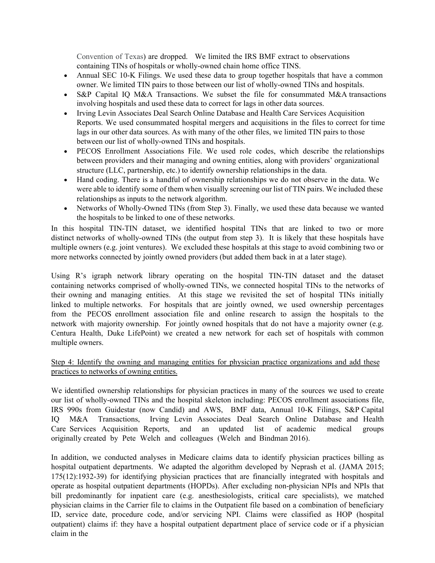Convention of Texas) are dropped. We limited the IRS BMF extract to observations containing TINs of hospitals or wholly-owned chain home office TINS.

- Annual SEC 10-K Filings. We used these data to group together hospitals that have a common owner. We limited TIN pairs to those between our list of wholly-owned TINs and hospitals.
- S&P Capital IQ M&A Transactions. We subset the file for consummated M&A transactions involving hospitals and used these data to correct for lags in other data sources.
- Irving Levin Associates Deal Search Online Database and Health Care Services Acquisition Reports. We used consummated hospital mergers and acquisitions in the files to correct for time lags in our other data sources. As with many of the other files, we limited TIN pairs to those between our list of wholly-owned TINs and hospitals.
- PECOS Enrollment Associations File. We used role codes, which describe the relationships between providers and their managing and owning entities, along with providers' organizational structure (LLC, partnership, etc.) to identify ownership relationships in the data.
- Hand coding. There is a handful of ownership relationships we do not observe in the data. We were able to identify some of them when visually screening our list of TIN pairs. We included these relationships as inputs to the network algorithm.
- Networks of Wholly-Owned TINs (from Step 3). Finally, we used these data because we wanted the hospitals to be linked to one of these networks.

In this hospital TIN-TIN dataset, we identified hospital TINs that are linked to two or more distinct networks of wholly-owned TINs (the output from step 3). It is likely that these hospitals have multiple owners (e.g. joint ventures). We excluded these hospitals at this stage to avoid combining two or more networks connected by jointly owned providers (but added them back in at a later stage).

Using R's igraph network library operating on the hospital TIN-TIN dataset and the dataset containing networks comprised of wholly-owned TINs, we connected hospital TINs to the networks of their owning and managing entities. At this stage we revisited the set of hospital TINs initially linked to multiple networks. For hospitals that are jointly owned, we used ownership percentages from the PECOS enrollment association file and online research to assign the hospitals to the network with majority ownership. For jointly owned hospitals that do not have a majority owner (e.g. Centura Health, Duke LifePoint) we created a new network for each set of hospitals with common multiple owners.

# Step 4: Identify the owning and managing entities for physician practice organizations and add these practices to networks of owning entities.

We identified ownership relationships for physician practices in many of the sources we used to create our list of wholly-owned TINs and the hospital skeleton including: PECOS enrollment associations file, IRS 990s from Guidestar (now Candid) and AWS, BMF data, Annual 10-K Filings, S&P Capital IQ M&A Transactions, Irving Levin Associates Deal Search Online Database and Health Care Services Acquisition Reports, and an updated list of academic medical groups originally created by Pete Welch and colleagues (Welch and Bindman 2016).

In addition, we conducted analyses in Medicare claims data to identify physician practices billing as hospital outpatient departments. We adapted the algorithm developed by Neprash et al. (JAMA 2015; 175(12):1932-39) for identifying physician practices that are financially integrated with hospitals and operate as hospital outpatient departments (HOPDs). After excluding non-physician NPIs and NPIs that bill predominantly for inpatient care (e.g. anesthesiologists, critical care specialists), we matched physician claims in the Carrier file to claims in the Outpatient file based on a combination of beneficiary ID, service date, procedure code, and/or servicing NPI. Claims were classified as HOP (hospital outpatient) claims if: they have a hospital outpatient department place of service code or if a physician claim in the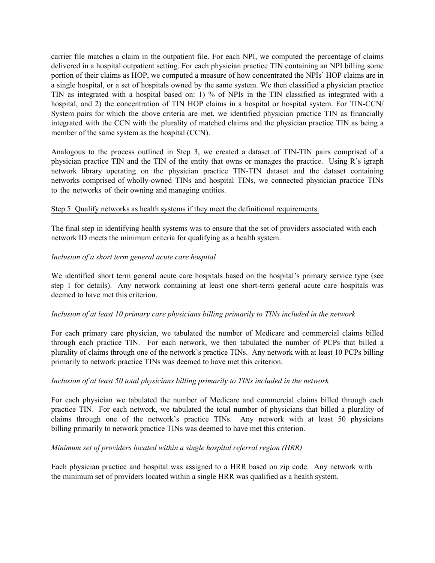carrier file matches a claim in the outpatient file. For each NPI, we computed the percentage of claims delivered in a hospital outpatient setting. For each physician practice TIN containing an NPI billing some portion of their claims as HOP, we computed a measure of how concentrated the NPIs' HOP claims are in a single hospital, or a set of hospitals owned by the same system. We then classified a physician practice TIN as integrated with a hospital based on: 1) % of NPIs in the TIN classified as integrated with a hospital, and 2) the concentration of TIN HOP claims in a hospital or hospital system. For TIN-CCN/ System pairs for which the above criteria are met, we identified physician practice TIN as financially integrated with the CCN with the plurality of matched claims and the physician practice TIN as being a member of the same system as the hospital (CCN).

Analogous to the process outlined in Step 3, we created a dataset of TIN-TIN pairs comprised of a physician practice TIN and the TIN of the entity that owns or manages the practice. Using R's igraph network library operating on the physician practice TIN-TIN dataset and the dataset containing networks comprised of wholly-owned TINs and hospital TINs, we connected physician practice TINs to the networks of their owning and managing entities.

## Step 5: Qualify networks as health systems if they meet the definitional requirements.

The final step in identifying health systems was to ensure that the set of providers associated with each network ID meets the minimum criteria for qualifying as a health system.

#### *Inclusion of a short term general acute care hospital*

We identified short term general acute care hospitals based on the hospital's primary service type (see step 1 for details). Any network containing at least one short-term general acute care hospitals was deemed to have met this criterion.

#### *Inclusion of at least 10 primary care physicians billing primarily to TINs included in the network*

For each primary care physician, we tabulated the number of Medicare and commercial claims billed through each practice TIN. For each network, we then tabulated the number of PCPs that billed a plurality of claims through one of the network's practice TINs. Any network with at least 10 PCPs billing primarily to network practice TINs was deemed to have met this criterion.

#### *Inclusion of at least 50 total physicians billing primarily to TINs included in the network*

For each physician we tabulated the number of Medicare and commercial claims billed through each practice TIN. For each network, we tabulated the total number of physicians that billed a plurality of claims through one of the network's practice TINs. Any network with at least 50 physicians billing primarily to network practice TINs was deemed to have met this criterion.

#### *Minimum set of providers located within a single hospital referral region (HRR)*

Each physician practice and hospital was assigned to a HRR based on zip code. Any network with the minimum set of providers located within a single HRR was qualified as a health system.